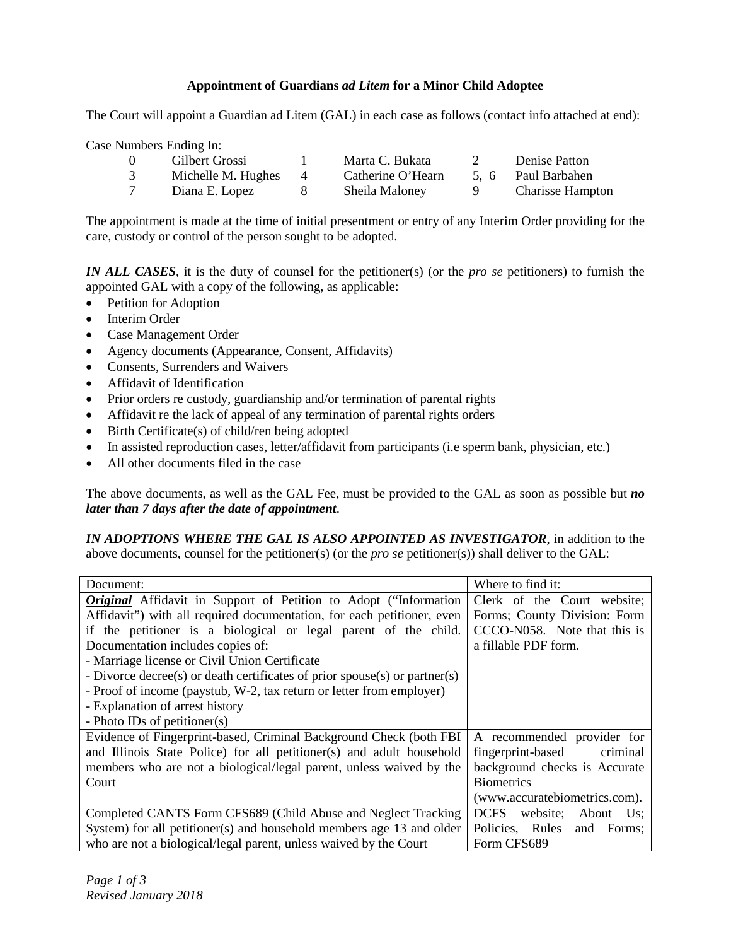## **Appointment of Guardians** *ad Litem* **for a Minor Child Adoptee**

The Court will appoint a Guardian ad Litem (GAL) in each case as follows (contact info attached at end):

Case Numbers Ending In:

| Gilbert Grossi     |   | Marta C. Bukata   | Denise Patton           |
|--------------------|---|-------------------|-------------------------|
| Michelle M. Hughes | 4 | Catherine O'Hearn | 5. 6 Paul Barbahen      |
| Diana E. Lopez     |   | Sheila Maloney    | <b>Charisse Hampton</b> |

The appointment is made at the time of initial presentment or entry of any Interim Order providing for the care, custody or control of the person sought to be adopted.

*IN ALL CASES*, it is the duty of counsel for the petitioner(s) (or the *pro se* petitioners) to furnish the appointed GAL with a copy of the following, as applicable:

- Petition for Adoption
- Interim Order
- Case Management Order
- Agency documents (Appearance, Consent, Affidavits)
- Consents, Surrenders and Waivers
- Affidavit of Identification
- Prior orders re custody, guardianship and/or termination of parental rights
- Affidavit re the lack of appeal of any termination of parental rights orders
- Birth Certificate(s) of child/ren being adopted
- In assisted reproduction cases, letter/affidavit from participants (i.e sperm bank, physician, etc.)
- All other documents filed in the case

The above documents, as well as the GAL Fee, must be provided to the GAL as soon as possible but *no later than 7 days after the date of appointment*.

*IN ADOPTIONS WHERE THE GAL IS ALSO APPOINTED AS INVESTIGATOR*, in addition to the above documents, counsel for the petitioner(s) (or the *pro se* petitioner(s)) shall deliver to the GAL:

| Document:                                                                  | Where to find it:                       |  |  |
|----------------------------------------------------------------------------|-----------------------------------------|--|--|
| <b>Original</b> Affidavit in Support of Petition to Adopt ("Information    | Clerk of the Court website;             |  |  |
| Affidavit") with all required documentation, for each petitioner, even     | Forms; County Division: Form            |  |  |
| if the petitioner is a biological or legal parent of the child.            | CCCO-N058. Note that this is            |  |  |
| Documentation includes copies of:                                          | a fillable PDF form.                    |  |  |
| - Marriage license or Civil Union Certificate                              |                                         |  |  |
| - Divorce decree(s) or death certificates of prior spouse(s) or partner(s) |                                         |  |  |
| - Proof of income (paystub, W-2, tax return or letter from employer)       |                                         |  |  |
| - Explanation of arrest history                                            |                                         |  |  |
| - Photo IDs of petitioner(s)                                               |                                         |  |  |
| Evidence of Fingerprint-based, Criminal Background Check (both FBI         | A recommended provider for              |  |  |
| and Illinois State Police) for all petitioner(s) and adult household       | fingerprint-based<br>criminal           |  |  |
| members who are not a biological/legal parent, unless waived by the        | background checks is Accurate           |  |  |
| Court                                                                      | <b>Biometrics</b>                       |  |  |
|                                                                            | (www.accuratebiometrics.com).           |  |  |
| Completed CANTS Form CFS689 (Child Abuse and Neglect Tracking              | <b>DCFS</b><br>website:<br>About<br>Us: |  |  |
| System) for all petitioner(s) and household members age 13 and older       | Policies, Rules and<br>Forms:           |  |  |
| who are not a biological/legal parent, unless waived by the Court          | Form CFS689                             |  |  |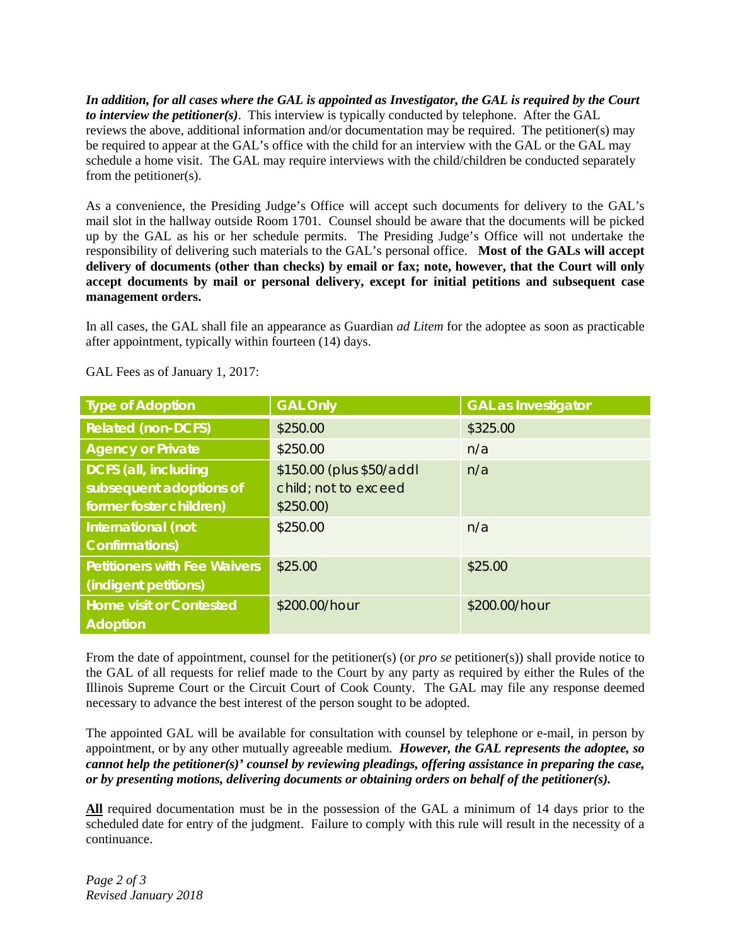*In addition, for all cases where the GAL is appointed as Investigator, the GAL is required by the Court to interview the petitioner(s)*. This interview is typically conducted by telephone. After the GAL reviews the above, additional information and/or documentation may be required. The petitioner(s) may be required to appear at the GAL's office with the child for an interview with the GAL or the GAL may schedule a home visit. The GAL may require interviews with the child/children be conducted separately from the petitioner(s).

As a convenience, the Presiding Judge's Office will accept such documents for delivery to the GAL's mail slot in the hallway outside Room 1701. Counsel should be aware that the documents will be picked up by the GAL as his or her schedule permits. The Presiding Judge's Office will not undertake the responsibility of delivering such materials to the GAL's personal office. **Most of the GALs will accept delivery of documents (other than checks) by email or fax; note, however, that the Court will only accept documents by mail or personal delivery, except for initial petitions and subsequent case management orders.**

In all cases, the GAL shall file an appearance as Guardian *ad Litem* for the adoptee as soon as practicable after appointment, typically within fourteen (14) days.

| <b>Type of Adoption</b>             | <b>GAL Only</b>          | <b>GAL as Investigator</b> |
|-------------------------------------|--------------------------|----------------------------|
| <b>Related (non-DCFS)</b>           | \$250.00                 | \$325.00                   |
| <b>Agency or Private</b>            | \$250.00                 | n/a                        |
| <b>DCFS (all, including</b>         | \$150.00 (plus \$50/addl | n/a                        |
| subsequent adoptions of             | child; not to exceed     |                            |
| former foster children)             | \$250.00)                |                            |
| International (not                  | \$250.00                 | n/a                        |
| <b>Confirmations)</b>               |                          |                            |
| <b>Petitioners with Fee Waivers</b> | \$25.00                  | \$25.00                    |
| (indigent petitions)                |                          |                            |
| <b>Home visit or Contested</b>      | \$200.00/hour            | \$200.00/hour              |
| <b>Adoption</b>                     |                          |                            |

GAL Fees as of January 1, 2017:

From the date of appointment, counsel for the petitioner(s) (or *pro se* petitioner(s)) shall provide notice to the GAL of all requests for relief made to the Court by any party as required by either the Rules of the Illinois Supreme Court or the Circuit Court of Cook County. The GAL may file any response deemed necessary to advance the best interest of the person sought to be adopted.

The appointed GAL will be available for consultation with counsel by telephone or e-mail, in person by appointment, or by any other mutually agreeable medium. *However, the GAL represents the adoptee, so cannot help the petitioner(s)' counsel by reviewing pleadings, offering assistance in preparing the case, or by presenting motions, delivering documents or obtaining orders on behalf of the petitioner(s).*

**All** required documentation must be in the possession of the GAL a minimum of 14 days prior to the scheduled date for entry of the judgment. Failure to comply with this rule will result in the necessity of a continuance.

*Page 2 of 3 Revised January 2018*